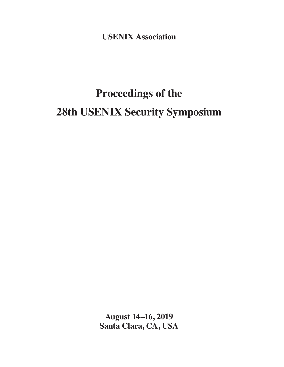**USENIX Association**

# **Proceedings of the 28th USENIX Security Symposium**

**August 14–16, 2019 Santa Clara, CA, USA**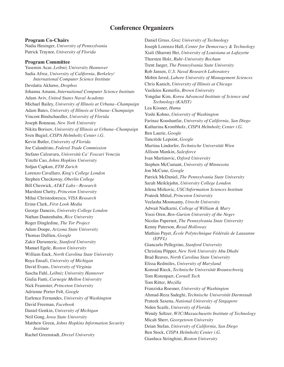## **Conference Organizers**

**Program Co-Chairs** Nadia Heninger, *University of Pennsylvania* Patrick Traynor, *University of Florida*

#### **Program Committee**

Yasemin Acar, *Leibniz University Hannover* Sadia Afroz, *University of California, Berkeley/ International Computer Science Institute* Devdatta Akhawe, *Dropbox* Johanna Amann, *International Computer Science Institute* Adam Aviv, *United States Naval Academy* Michael Bailey, *University of Illinois at Urbana–Champaign* Adam Bates, *University of Illinois at Urbana–Champaign* Vincent Bindschaedler, *University of Florida* Joseph Bonneau, *New York University* Nikita Borisov, *University of Illinois at Urbana–Champaign* Sven Bugiel, *CISPA Helmholtz Center i.G.* Kevin Butler, *University of Florida* Joe Calandrino, *Federal Trade Commission* Stefano Calzavara, *Università Ca' Foscari Venezia* Yinzhi Cao, *Johns Hopkins University* Srdjan Capkun, *ETH Zurich* Lorenzo Cavallaro, *King's College London* Stephen Checkoway, *Oberlin College* Bill Cheswick, *AT&T Labs—Research* Marshini Chetty, *Princeton University* Mihai Christodorescu, *VISA Research* Erinn Clark, *First Look Media* George Danezis, *University College London* Nathan Dautenhahn, *Rice University* Roger Dingledine, *The Tor Project* Adam Doupe, *Arizona State University* Thomas Dullien, *Google* Zakir Durumeric, *Stanford University* Manuel Egele, *Boston University* William Enck, *North Carolina State University* Roya Ensafi, *University of Michigan* David Evans, *University of Virginia* Sascha Fahl, *Leibniz University Hannover* Giulia Fanti, *Carnegie Mellon University* Nick Feamster, *Princeton University* Adrienne Porter Felt, *Google* Earlence Fernandes, *University of Washington* David Freeman, *Facebook* Daniel Genkin, *University of Michigan* Neil Gong, *Iowa State University* Matthew Green, *Johns Hopkins Information Security Institute* Rachel Greenstadt, *Drexel University*

Daniel Gruss, *Graz University of Technology* Joseph Lorenzo Hall, *Center for Democracy & Technology* Xiali (Sharon) Hei, *University of Louisiana at Lafayette* Thorsten Holz, *Ruhr-University Bochum* Trent Jaeger, *The Pennsylvania State University* Rob Jansen, *U.S. Naval Research Laboratory* Mobin Javed, *Lahore University of Management Sciences* Chris Kanich, *University of Illinois at Chicago* Vasileios Kemerlis, *Brown University* Yongdae Kim, *Korea Advanced Institute of Science and Technology (KAIST)* Lea Kissner, *Humu* Yoshi Kohno, *University of Washington* Farinaz Koushanfar, *University of California, San Diego* Katharina Krombholz, *CISPA Helmholtz Center i.G.* Ben Laurie, *Google* Tancrède Lepoint, *Google* Martina Lindorfer, *Technische Universität Wien* Allison Mankin, *Salesforce* Ivan Martinovic, *Oxford University* Stephen McCamant, *University of Minnesota* Jon McCune, *Google* Patrick McDaniel, *The Pennsylvania State University* Sarah Meiklejohn, *University College London* Jelena Mirkovic, *USC/Information Sciences Institute* Prateek Mittal, *Princeton University* Veelasha Moonsamy, *Utrecht University* Adwait Nadkarni, *College of William & Mary* Yossi Oren, *Ben-Gurion University of the Negev* Nicolas Papernot, *The Pennsylvania State University* Kenny Paterson, *Royal Holloway* Mathias Payer, *École Polytechnique Fédérale de Lausanne (EPFL)* Giancarlo Pellegrino, *Stanford University* Christina Pöpper, *New York University Abu Dhabi* Brad Reaves, *North Carolina State University* Elissa Redmiles, *University of Maryland* Konrad Rieck, *Technische Universität Braunschweig* Tom Ristenpart, *Cornell Tech* Tom Ritter, *Mozilla* Franziska Roesner, *University of Washington* Ahmad-Reza Sadeghi, *Technische Universität Darmstadt* Prateek Saxena, *National University of Singapore* Nolen Scaife, *University of Florida* Wendy Seltzer, *W3C/Massachusetts Institute of Technology* Micah Sherr, *Georgetown University* Deian Stefan, *University of California, San Diego* Ben Stock, *CISPA Helmholtz Center i.G.* Gianluca Stringhini, *Boston University*